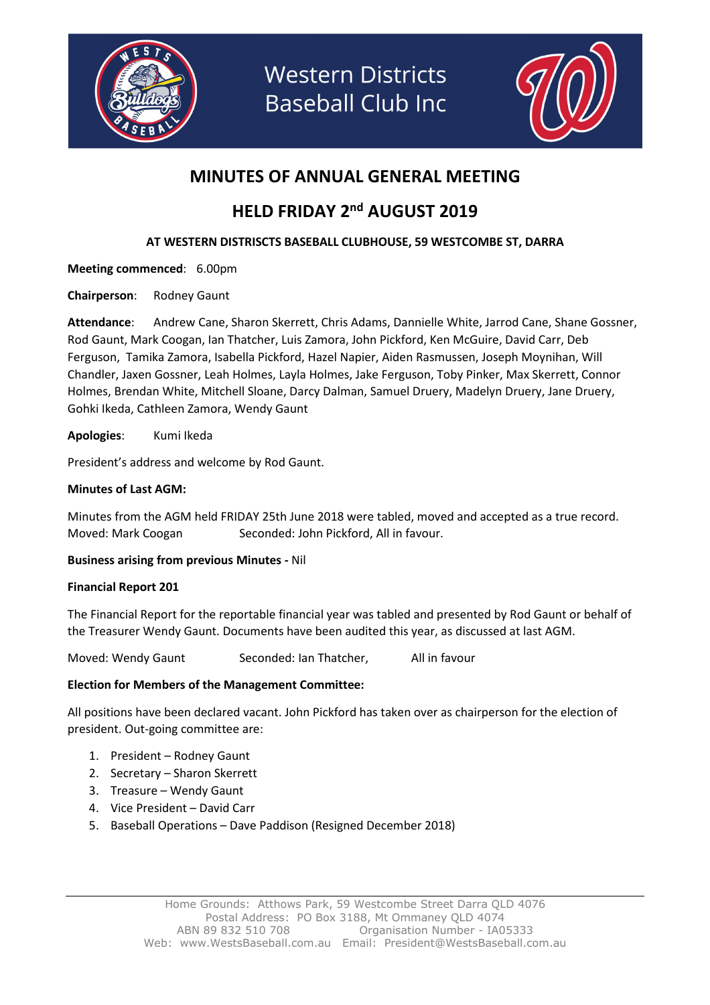

**Western Districts Baseball Club Inc** 



### MINUTES OF ANNUAL GENERAL MEETING

## HELD FRIDAY 2<sup>nd</sup> AUGUST 2019

#### AT WESTERN DISTRISCTS BASEBALL CLUBHOUSE, 59 WESTCOMBE ST, DARRA

Meeting commenced: 6.00pm

Chairperson: Rodney Gaunt

Attendance: Andrew Cane, Sharon Skerrett, Chris Adams, Dannielle White, Jarrod Cane, Shane Gossner, Rod Gaunt, Mark Coogan, Ian Thatcher, Luis Zamora, John Pickford, Ken McGuire, David Carr, Deb Ferguson, Tamika Zamora, Isabella Pickford, Hazel Napier, Aiden Rasmussen, Joseph Moynihan, Will Chandler, Jaxen Gossner, Leah Holmes, Layla Holmes, Jake Ferguson, Toby Pinker, Max Skerrett, Connor Holmes, Brendan White, Mitchell Sloane, Darcy Dalman, Samuel Druery, Madelyn Druery, Jane Druery, Gohki Ikeda, Cathleen Zamora, Wendy Gaunt

Apologies: Kumi Ikeda

President's address and welcome by Rod Gaunt.

#### Minutes of Last AGM:

Minutes from the AGM held FRIDAY 25th June 2018 were tabled, moved and accepted as a true record. Moved: Mark Coogan Seconded: John Pickford, All in favour.

#### Business arising from previous Minutes - Nil

#### Financial Report 201

The Financial Report for the reportable financial year was tabled and presented by Rod Gaunt or behalf of the Treasurer Wendy Gaunt. Documents have been audited this year, as discussed at last AGM.

Moved: Wendy Gaunt Seconded: Ian Thatcher, All in favour

#### Election for Members of the Management Committee:

All positions have been declared vacant. John Pickford has taken over as chairperson for the election of president. Out-going committee are:

- 1. President Rodney Gaunt
- 2. Secretary Sharon Skerrett
- 3. Treasure Wendy Gaunt
- 4. Vice President David Carr
- 5. Baseball Operations Dave Paddison (Resigned December 2018)